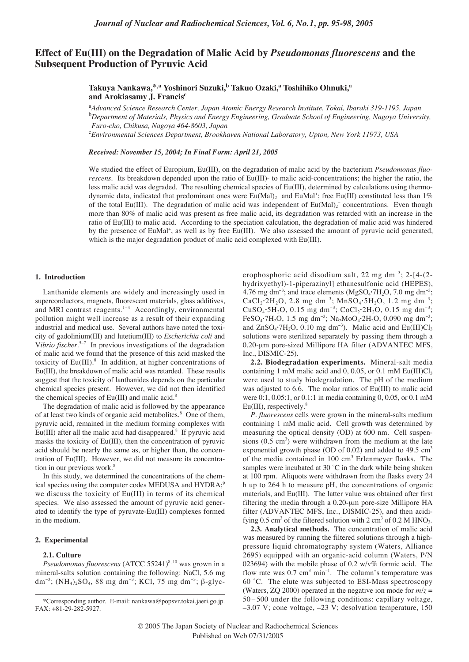# **Effect of Eu(III) on the Degradation of Malic Acid by** *Pseudomonas fluorescens* **and the Subsequent Production of Pyruvic Acid**

**Takuya Nankawa,\*,a Yoshinori Suzuki,b Takuo Ozaki,a Toshihiko Ohnuki,a and Arokiasamy J. Francisc**

a *Advanced Science Research Center, Japan Atomic Energy Research Institute, Tokai, Ibaraki 319-1195, Japan* b *Department of Materials, Physics and Energy Engineering, Graduate School of Engineering, Nagoya University, Furo-cho, Chikusa, Nagoya 464-8603, Japan* 

c *Environmental Sciences Department, Brookhaven National Laboratory, Upton, New York 11973, USA*

*Received: November 15, 2004; In Final Form: April 21, 2005*

We studied the effect of Europium, Eu(III), on the degradation of malic acid by the bacterium *Pseudomonas fluorescens.* Its breakdown depended upon the ratio of Eu(III)- to malic acid-concentrations; the higher the ratio, the less malic acid was degraded. The resulting chemical species of Eu(III), determined by calculations using thermodynamic data, indicated that predominant ones were  $Eu(Mal)_2^-$  and  $EuMal^+$ ; free  $Eu(HI)$  constituted less than 1% of the total Eu(III). The degradation of malic acid was independent of  $Eu(Mal)_2^-$  concentrations. Even though more than 80% of malic acid was present as free malic acid, its degradation was retarded with an increase in the ratio of Eu(III) to malic acid. According to the speciation calculation, the degradation of malic acid was hindered by the presence of EuMal<sup>+</sup>, as well as by free Eu(III). We also assessed the amount of pyruvic acid generated, which is the major degradation product of malic acid complexed with Eu(III).

#### **1. Introduction**

Lanthanide elements are widely and increasingly used in superconductors, magnets, fluorescent materials, glass additives, and MRI contrast reagents.1−<sup>4</sup> Accordingly, environmental pollution might well increase as a result of their expanding industrial and medical use. Several authors have noted the toxicity of gadolinium(III) and lutetium(III) to *Escherichia coli* and V*ibrio fischer*. <sup>5</sup>−<sup>7</sup> In previous investigations of the degradation of malic acid we found that the presence of this acid masked the toxicity of Eu(III).<sup>8</sup> In addition, at higher concentrations of Eu(III), the breakdown of malic acid was retarded. These results suggest that the toxicity of lanthanides depends on the particular chemical species present. However, we did not then identified the chemical species of  $Eu(III)$  and malic acid.<sup>8</sup>

The degradation of malic acid is followed by the appearance of at least two kinds of organic acid metabolites.<sup>8</sup> One of them, pyruvic acid, remained in the medium forming complexes with  $Eu(III)$  after all the malic acid had disappeared.<sup>8</sup> If pyruvic acid masks the toxicity of Eu(III), then the concentration of pyruvic acid should be nearly the same as, or higher than, the concentration of Eu(III). However, we did not measure its concentration in our previous work.<sup>8</sup>

In this study, we determined the concentrations of the chemical species using the computer codes MEDUSA and HYDRA;<sup>9</sup> we discuss the toxicity of Eu(III) in terms of its chemical species. We also assessed the amount of pyruvic acid generated to identify the type of pyruvate-Eu(III) complexes formed in the medium.

### **2. Experimental**

## **2.1. Culture**

*Pseudomonas fluorescens* (ATCC 55241)<sup>8, 10</sup> was grown in a mineral-salts solution containing the following: NaCl, 5.6 mg dm<sup>-3</sup>; (NH<sub>4</sub>)<sub>2</sub>SO<sub>4</sub>, 88 mg dm<sup>-3</sup>; KCl, 75 mg dm<sup>-3</sup>; β-glyc-

erophosphoric acid disodium salt, 22 mg dm<sup>−</sup><sup>3</sup> ; 2-[4-(2 hydrixyethyl)-1-piperazinyl] ethanesulfonic acid (HEPES), 4.76 mg dm<sup>-3</sup>; and trace elements (MgSO<sub>4</sub>**·**7H<sub>2</sub>O, 7.0 mg dm<sup>-3</sup>; CaCl<sub>2</sub>·2H<sub>2</sub>O, 2.8 mg dm<sup>−3</sup>; MnSO<sub>4</sub>·5H<sub>2</sub>O, 1.2 mg dm<sup>−3</sup>; CuSO<sub>4</sub>**·**5H<sub>2</sub>O, 0.15 mg dm<sup>−3</sup>; CoCl<sub>2</sub>·2H<sub>2</sub>O, 0.15 mg dm<sup>−3</sup>; FeSO<sub>4</sub>**·**7H<sub>2</sub>O, 1.5 mg dm<sup>−3</sup>; Na<sub>2</sub>MoO<sub>4</sub>**·**2H<sub>2</sub>O, 0.090 mg dm<sup>−3</sup>; and  $ZnSO_4$ **·**7H<sub>2</sub>O, 0.10 mg dm<sup>-3</sup>). Malic acid and  $Eu(III)Cl_3$ solutions were sterilized separately by passing them through a 0.20-µm pore-sized Millipore HA filter (ADVANTEC MFS, Inc., DISMIC-25).

**2.2. Biodegradation experiments.** Mineral-salt media containing 1 mM malic acid and 0, 0.05, or 0.1 mM  $Eu(III)Cl<sub>3</sub>$ were used to study biodegradation. The pH of the medium was adjusted to 6.6. The molar ratios of Eu(III) to malic acid were 0:1, 0.05:1, or 0.1:1 in media containing 0, 0.05, or 0.1 mM  $Eu(III)$ , respectively.<sup>8</sup>

*P. fluorescens* cells were grown in the mineral-salts medium containing 1 mM malic acid. Cell growth was determined by measuring the optical density (OD) at 600 nm. Cell suspensions  $(0.5 \text{ cm}^3)$  were withdrawn from the medium at the late exponential growth phase (OD of 0.02) and added to  $49.5 \text{ cm}^3$ of the media contained in 100 cm<sup>3</sup> Erlenmeyer flasks. The samples were incubated at 30 °C in the dark while being shaken at 100 rpm. Aliquots were withdrawn from the flasks every 24 h up to 264 h to measure pH, the concentrations of organic materials, and Eu(III). The latter value was obtained after first filtering the media through a 0.20-µm pore-size Millipore HA filter (ADVANTEC MFS, Inc., DISMIC-25), and then acidifying  $0.5 \text{ cm}^3$  of the filtered solution with  $2 \text{ cm}^3$  of  $0.2 \text{ M HNO}_3$ .

**2.3. Analytical methods.** The concentration of malic acid was measured by running the filtered solutions through a highpressure liquid chromatography system (Waters, Alliance 2695) equipped with an organic-acid column (Waters, P/N 023694) with the mobile phase of 0.2 w/v% formic acid. The flow rate was  $0.7 \text{ cm}^3 \text{ min}^{-1}$ . The column's temperature was 60 ˚C. The elute was subjected to ESI-Mass spectroscopy (Waters, ZQ 2000) operated in the negative ion mode for  $m/z =$ 50 – 500 under the following conditions: capillary voltage, –3.07 V; cone voltage, –23 V; desolvation temperature, 150

<sup>\*</sup>Corresponding author. E-mail: nankawa@popsvr.tokai.jaeri.go.jp. FAX: +81-29-282-5927.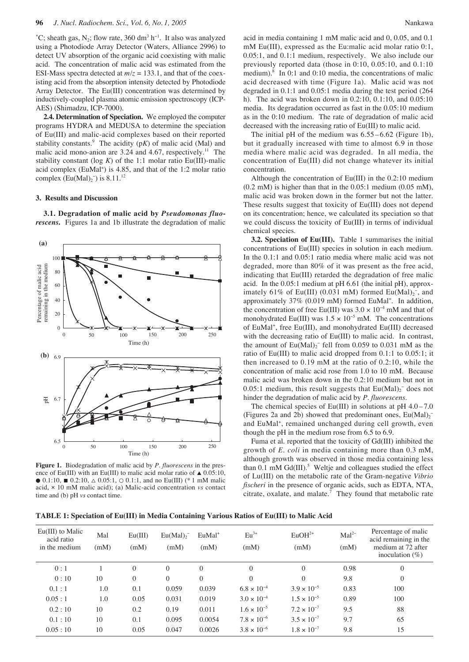°C; sheath gas, N<sub>2</sub>; flow rate, 360 dm<sup>3</sup> h<sup>-1</sup>. It also was analyzed using a Photodiode Array Detector (Waters, Alliance 2996) to detect UV absorption of the organic acid coexisting with malic acid. The concentration of malic acid was estimated from the ESI-Mass spectra detected at  $m/z = 133.1$ , and that of the coexisting acid from the absorption intensity detected by Photodiode Array Detector. The Eu(III) concentration was determined by inductively-coupled plasma atomic emission spectroscopy (ICP-AES) (Shimadzu, ICP-7000).

**2.4. Determination of Speciation.** We employed the computer programs HYDRA and MEDUSA to determine the speciation of Eu(III) and malic-acid complexes based on their reported stability constants.<sup>9</sup> The acidity  $(pK)$  of malic acid (Mal) and malic acid mono-anion are  $3.24$  and  $4.67$ , respectively.<sup>11</sup> The stability constant (log  $K$ ) of the 1:1 molar ratio Eu(III)-malic acid complex (EuMal<sup>+</sup>) is 4.85, and that of the 1:2 molar ratio complex  $(Eu(Mal)_2^-)$  is 8.11.<sup>12</sup>

# **3. Results and Discussion**

**3.1. Degradation of malic acid by** *Pseudomonas fluorescens***.** Figures 1a and 1b illustrate the degradation of malic



**Figure 1.** Biodegradation of malic acid by *P. fluorescens* in the presence of Eu(III) with an Eu(III) to malic acid molar ratio of  $\triangle 0.05:10$ ,  $\bullet$  0.1:10, ■ 0.2:10,  $\triangle$  0.05:1,  $\odot$  0.1:1, and no Eu(III) (\* 1 mM malic acid, × 10 mM malic acid); (a) Malic-acid concentration *vs* contact time and (b) pH *vs* contact time.

acid in media containing 1 mM malic acid and 0, 0.05, and 0.1 mM Eu(III), expressed as the Eu:malic acid molar ratio 0:1, 0.05:1, and 0.1:1 medium, respectively. We also include our previously reported data (those in 0:10, 0.05:10, and 0.1:10 medium). $8 \text{ In } 0:1 \text{ and } 0:10 \text{ media, the concentrations of malic}$ acid decreased with time (Figure 1a). Malic acid was not degraded in 0.1:1 and 0.05:1 media during the test period (264 h). The acid was broken down in 0.2:10, 0.1:10, and 0.05:10 media. Its degradation occurred as fast in the 0.05:10 medium as in the 0:10 medium. The rate of degradation of malic acid decreased with the increasing ratio of Eu(III) to malic acid.

The initial pH of the medium was  $6.55 - 6.62$  (Figure 1b), but it gradually increased with time to almost 6.9 in those media where malic acid was degraded. In all media, the concentration of Eu(III) did not change whatever its initial concentration.

Although the concentration of Eu(III) in the 0.2:10 medium (0.2 mM) is higher than that in the 0.05:1 medium (0.05 mM), malic acid was broken down in the former but not the latter. These results suggest that toxicity of Eu(III) does not depend on its concentration; hence, we calculated its speciation so that we could discuss the toxicity of Eu(III) in terms of individual chemical species.

**3.2. Speciation of Eu(III).** Table 1 summarises the initial concentrations of Eu(III) species in solution in each medium. In the 0.1:1 and 0.05:1 ratio media where malic acid was not degraded, more than 80% of it was present as the free acid, indicating that Eu(III) retarded the degradation of free malic acid. In the 0.05:1 medium at pH 6.61 (the initial pH), approximately 61% of Eu(III) (0.031 mM) formed  $Eu(Mal)_2^-$ , and approximately 37% (0.019 mM) formed EuMal<sup>+</sup>. In addition, the concentration of free Eu(III) was  $3.0 \times 10^{-4}$  mM and that of monohydrated Eu(III) was  $1.5 \times 10^{-5}$  mM. The concentrations of EuMal<sup>+</sup>, free Eu(III), and monohydrated Eu(III) decreased with the decreasing ratio of Eu(III) to malic acid. In contrast, the amount of  $Eu(Mal)_2$ <sup>-</sup> fell from 0.059 to 0.031 mM as the ratio of Eu(III) to malic acid dropped from 0.1:1 to 0.05:1; it then increased to 0.19 mM at the ratio of 0.2:10, while the concentration of malic acid rose from 1.0 to 10 mM. Because malic acid was broken down in the 0.2:10 medium but not in 0.05:1 medium, this result suggests that  $Eu(Mal)_2^-$  does not hinder the degradation of malic acid by *P. fluorescens*.

The chemical species of Eu(III) in solutions at  $pH$  4.0 – 7.0 (Figures 2a and 2b) showed that predominant ones,  $Eu(Mal)_2^$ and EuMal<sup>+</sup>, remained unchanged during cell growth, even though the pH in the medium rose from 6.5 to 6.9.

Fuma et al. reported that the toxicity of Gd(III) inhibited the growth of *E. coli* in media containing more than 0.3 mM, although growth was observed in those media containing less than  $0.1 \text{ mM } Gd(III)$ .<sup>5</sup> Weltje and colleagues studied the effect of Lu(III) on the metabolic rate of the Gram-negative *Vibrio fischeri* in the presence of organic acids, such as EDTA, NTA, citrate, oxalate, and malate.7 They found that metabolic rate

**TABLE 1: Speciation of Eu(III) in Media Containing Various Ratios of Eu(III) to Malic Acid**

| $Eu(III)$ to Malic<br>acid ratio<br>in the medium | Mal<br>(mM) | Eu(III)<br>(mM) | Eu(Mal) <sub>2</sub><br>(mM) | $EuMal+$<br>(mM) | $Eu^{3+}$<br>(mM)    | $EuOH2+$<br>(mM)     | $Mal2-$<br>(mM) | Percentage of malic<br>acid remaining in the<br>medium at 72 after<br>inoculation $(\%)$ |
|---------------------------------------------------|-------------|-----------------|------------------------------|------------------|----------------------|----------------------|-----------------|------------------------------------------------------------------------------------------|
| 0:1                                               |             | $\theta$        | $\Omega$                     | $\theta$         | $\mathbf{0}$         | $\mathbf{0}$         | 0.98            | $\theta$                                                                                 |
| 0:10                                              | 10          | $\theta$        | $\Omega$                     | $\Omega$         | $\theta$             | $\theta$             | 9.8             | $\theta$                                                                                 |
| 0.1:1                                             | 1.0         | 0.1             | 0.059                        | 0.039            | $6.8 \times 10^{-4}$ | $3.9 \times 10^{-5}$ | 0.83            | 100                                                                                      |
| 0.05:1                                            | 1.0         | 0.05            | 0.031                        | 0.019            | $3.0 \times 10^{-4}$ | $1.5 \times 10^{-5}$ | 0.89            | 100                                                                                      |
| 0.2:10                                            | 10          | 0.2             | 0.19                         | 0.011            | $1.6 \times 10^{-5}$ | $7.2 \times 10^{-7}$ | 9.5             | 88                                                                                       |
| 0.1:10                                            | 10          | 0.1             | 0.095                        | 0.0054           | $7.8 \times 10^{-6}$ | $3.5 \times 10^{-7}$ | 9.7             | 65                                                                                       |
| 0.05:10                                           | 10          | 0.05            | 0.047                        | 0.0026           | $3.8 \times 10^{-6}$ | $1.8 \times 10^{-7}$ | 9.8             | 15                                                                                       |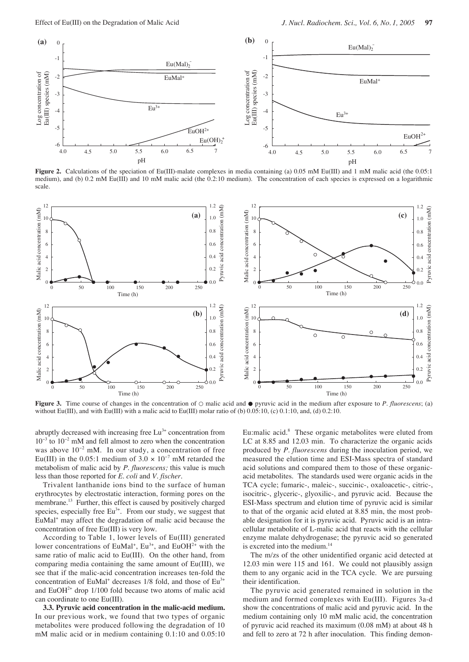

**Figure 2.** Calculations of the speciation of Eu(III)-malate complexes in media containing (a) 0.05 mM Eu(III) and 1 mM malic acid (the 0.05:1 medium), and (b) 0.2 mM Eu(III) and 10 mM malic acid (the 0.2:10 medium). The concentration of each species is expressed on a logarithmic scale.



**Figure 3.** Time course of changes in the concentration of ○ malic acid and ● pyruvic acid in the medium after exposure to *P. fluorescens*; (a) without Eu(III), and with Eu(III) with a malic acid to Eu(III) molar ratio of (b) 0.05:10, (c) 0.1:10, and, (d) 0.2:10.

abruptly decreased with increasing free  $Lu^{3+}$  concentration from  $10^{-3}$  to  $10^{-2}$  mM and fell almost to zero when the concentration was above 10<sup>−</sup><sup>2</sup> mM. In our study, a concentration of free Eu(III) in the 0.05:1 medium of  $3.0 \times 10^{-7}$  mM retarded the metabolism of malic acid by *P. fluorescens;* this value is much less than those reported for *E. coli* and *V. fischer*.

Trivalent lanthanide ions bind to the surface of human erythrocytes by electrostatic interaction, forming pores on the membrane.<sup>13</sup> Further, this effect is caused by positively charged species, especially free  $Eu^{3+}$ . From our study, we suggest that EuMal<sup>+</sup> may affect the degradation of malic acid because the concentration of free Eu(III) is very low.

According to Table 1, lower levels of Eu(III) generated lower concentrations of EuMal<sup>+</sup>,  $Eu^{3+}$ , and EuOH<sup>2+</sup> with the same ratio of malic acid to Eu(III). On the other hand, from comparing media containing the same amount of Eu(III), we see that if the malic-acid concentration increases ten-fold the concentration of EuMal<sup>+</sup> decreases  $1/8$  fold, and those of Eu<sup>3+</sup> and  $EuOH<sup>2+</sup>$  drop 1/100 fold because two atoms of malic acid can coordinate to one Eu(III).

**3.3. Pyruvic acid concentration in the malic-acid medium.** In our previous work, we found that two types of organic metabolites were produced following the degradation of 10 mM malic acid or in medium containing 0.1:10 and 0.05:10

Eu:malic acid.<sup>8</sup> These organic metabolites were eluted from LC at 8.85 and 12.03 min. To characterize the organic acids produced by *P. fluorescens* during the inoculation period, we measured the elution time and ESI-Mass spectra of standard acid solutions and compared them to those of these organicacid metabolites. The standards used were organic acids in the TCA cycle; fumaric-, maleic-, succinic-, oxaloacetic-, citric-, isocitric-, glyceric-, glyoxilic-, and pyruvic acid. Because the ESI-Mass spectrum and elution time of pyruvic acid is similar to that of the organic acid eluted at 8.85 min, the most probable designation for it is pyruvic acid. Pyruvic acid is an intracellular metabolite of L-malic acid that reacts with the cellular enzyme malate dehydrogenase; the pyruvic acid so generated is excreted into the medium.<sup>14</sup>

The m/zs of the other unidentified organic acid detected at 12.03 min were 115 and 161. We could not plausibly assign them to any organic acid in the TCA cycle. We are pursuing their identification.

The pyruvic acid generated remained in solution in the medium and formed complexes with Eu(III). Figures 3a-d show the concentrations of malic acid and pyruvic acid. In the medium containing only 10 mM malic acid, the concentration of pyruvic acid reached its maximum (0.08 mM) at about 48 h and fell to zero at 72 h after inoculation. This finding demon